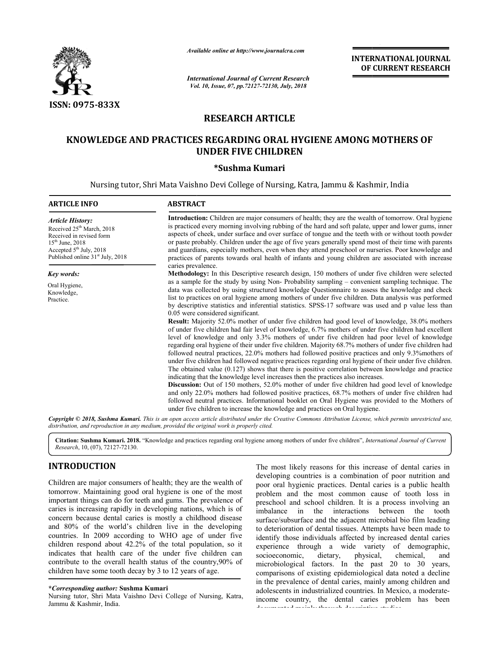

*Available online at http://www.journalcra.com*

*International Journal of Current Research Vol. 10, Issue, 07, pp. Vol. pp.72127-72130, July, 2018*

**INTERNATIONAL JOURNAL OF CURRENT RESEARCH**

# **RESEARCH ARTICLE**

# **KNOWLEDGE AND PRACTICES REGARDING ORAL HYGIENE AMONG MOTHERS OF AND UNDER FIVE CHILDREN UNDER \*Sushma Kumari**

Nursing tutor, Shri Mata Vaishno Devi College of Nursing, Katra, Jammu & Kashmir, India

| <b>ARTICLE INFO</b>                                                                                                                                                                               | <b>ABSTRACT</b>                                                                                                                                                                                                                                                                                                                                                                                                                                                                                                                                                                                                                                                                                                                                                                                                                                                                                                                                                                                                                                                                                                                                                                                                                                                                                                                                                                                                                                                                                                                                                                                                                                                                                       |  |  |  |  |  |
|---------------------------------------------------------------------------------------------------------------------------------------------------------------------------------------------------|-------------------------------------------------------------------------------------------------------------------------------------------------------------------------------------------------------------------------------------------------------------------------------------------------------------------------------------------------------------------------------------------------------------------------------------------------------------------------------------------------------------------------------------------------------------------------------------------------------------------------------------------------------------------------------------------------------------------------------------------------------------------------------------------------------------------------------------------------------------------------------------------------------------------------------------------------------------------------------------------------------------------------------------------------------------------------------------------------------------------------------------------------------------------------------------------------------------------------------------------------------------------------------------------------------------------------------------------------------------------------------------------------------------------------------------------------------------------------------------------------------------------------------------------------------------------------------------------------------------------------------------------------------------------------------------------------------|--|--|--|--|--|
| <b>Article History:</b><br>Received 25 <sup>th</sup> March, 2018<br>Received in revised form<br>$15^{th}$ June, 2018<br>Accepted 5 <sup>th</sup> July, 2018<br>Published online $31st$ July, 2018 | <b>Introduction:</b> Children are major consumers of health; they are the wealth of tomorrow. Oral hygiene<br>is practiced every morning involving rubbing of the hard and soft palate, upper and lower gums, inner<br>aspects of cheek, under surface and over surface of tongue and the teeth with or without tooth powder<br>or paste probably. Children under the age of five years generally spend most of their time with parents<br>and guardians, especially mothers, even when they attend preschool or nurseries. Poor knowledge and<br>practices of parents towards oral health of infants and young children are associated with increase                                                                                                                                                                                                                                                                                                                                                                                                                                                                                                                                                                                                                                                                                                                                                                                                                                                                                                                                                                                                                                                 |  |  |  |  |  |
|                                                                                                                                                                                                   | caries prevalence.<br><b>Methodology:</b> In this Descriptive research design, 150 mothers of under five children were selected                                                                                                                                                                                                                                                                                                                                                                                                                                                                                                                                                                                                                                                                                                                                                                                                                                                                                                                                                                                                                                                                                                                                                                                                                                                                                                                                                                                                                                                                                                                                                                       |  |  |  |  |  |
| Key words:<br>Oral Hygiene,<br>Knowledge,<br>Practice.                                                                                                                                            | as a sample for the study by using Non-Probability sampling – convenient sampling technique. The<br>data was collected by using structured knowledge Questionnaire to assess the knowledge and check<br>list to practices on oral hygiene among mothers of under five children. Data analysis was performed<br>by descriptive statistics and inferential statistics. SPSS-17 software was used and p value less than<br>0.05 were considered significant.<br><b>Result:</b> Majority 52.0% mother of under five children had good level of knowledge, 38.0% mothers<br>of under five children had fair level of knowledge, 6.7% mothers of under five children had excellent<br>level of knowledge and only 3.3% mothers of under five children had poor level of knowledge<br>regarding oral hygiene of their under five children. Majority 68.7% mothers of under five children had<br>followed neutral practices, 22.0% mothers had followed positive practices and only 9.3% mothers of<br>under five children had followed negative practices regarding oral hygiene of their under five children.<br>The obtained value $(0.127)$ shows that there is positive correlation between knowledge and practice<br>indicating that the knowledge level increases then the practices also increases.<br><b>Discussion:</b> Out of 150 mothers, 52.0% mother of under five children had good level of knowledge<br>and only 22.0% mothers had followed positive practices, 68.7% mothers of under five children had<br>followed neutral practices. Informational booklet on Oral Hygiene was provided to the Mothers of<br>under five children to increase the knowledge and practices on Oral hygiene. |  |  |  |  |  |

Copyright © 2018, Sushma Kumari. This is an open access article distributed under the Creative Commons Attribution License, which permits unrestricted use, *distribution, and reproduction in any medium, provided the original work is properly cited.*

Citation: Sushma Kumari. 2018. "Knowledge and practices regarding oral hygiene among mothers of under five children", *International Journal of Current Research*, 10, (07), 72127-72130.

# **INTRODUCTION**

Children are major consumers of health; they are the wealth of tomorrow. Maintaining good oral hygiene is one of the most important things can do for teeth and gums. The prevalence of caries is increasing rapidly in developing nations, which is of concern because dental caries is mostly a childhood disease and 80% of the world's children live in the developing countries. In 2009 according to WHO age of under five children respond about 42.2% of the total population, so it indicates that health care of the under five children can contribute to the overall health status of the country,90% of children have some tooth decay by 3 to 12 years of age.

#### **\****Corresponding author:* **Sushma Kumari**

Nursing tutor, Shri Mata Vaishno Devi College of Nursing, Katra, Jammu & Kashmir, India.

**INTRODUCTION**<br> **INTRODUCTION**<br> **Children are major consumers of health**, they are the wealth of peoproping conutries is a combination of poor nutrition and<br>
tomorrow. Maintaining good oral hygiene is one of the most probl developing countries is a combination of poor nutrition and poor oral hygienic practices. Dental caries is a public health problem and the most common cause of tooth loss in preschool and school children. It is a process involving an imbalance in the interactions between the tooth surface/subsurface and the adjacent microbial bio film leading to deterioration of dental tissues. Attempts have been made to identify those individuals affected by increased dental caries experience through a wide variety of demographic, socioeconomic, dietary, physical, chemical, and microbiological factors. In the past 20 to 30 years, comparisons of existing epidemiological data noted a decline in the prevalence of dental caries, mainly among children and adolescents in industrialized countries. In Me income country, the dental caries problem has been documented mainly through descriptive studies. The most likely reasons for this increase of dental caries in developing countries is a combination of poor nutrition and poor oral hygienic practices. Dental caries is a public health problem and the most common cause of rface and the adjacent microbial bio film leading<br>on of dental tissues. Attempts have been made to<br>e individuals affected by increased dental caries<br>through a wide variety of demographic,<br>i.e., dietary, physical, chemical,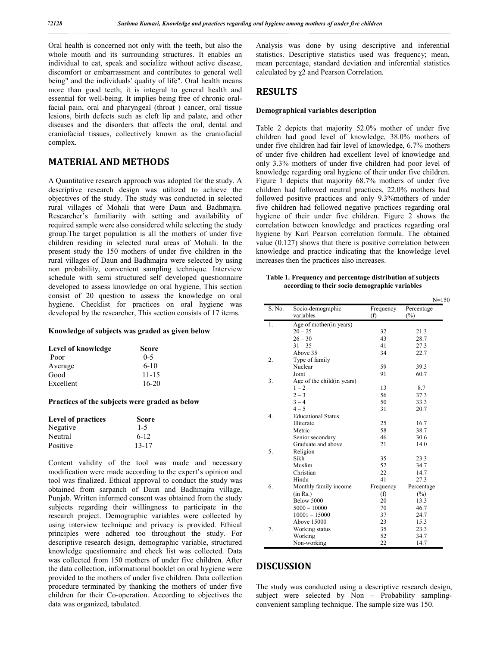Oral health is concerned not only with the teeth, but also the whole mouth and its surrounding structures. It enables an individual to eat, speak and socialize without active disease, discomfort or embarrassment and contributes to general well being" and the individuals' quality of life". Oral health means more than good teeth; it is integral to general health and essential for well-being. It implies being free of chronic oralfacial pain, oral and pharyngeal (throat ) cancer, oral tissue lesions, birth defects such as cleft lip and palate, and other diseases and the disorders that affects the oral, dental and craniofacial tissues, collectively known as the craniofacial complex.

# **MATERIAL AND METHODS**

A Quantitative research approach was adopted for the study. A descriptive research design was utilized to achieve the objectives of the study. The study was conducted in selected rural villages of Mohali that were Daun and Badhmajra. Researcher's familiarity with setting and availability of required sample were also considered while selecting the study group.The target population is all the mothers of under five children residing in selected rural areas of Mohali. In the present study the 150 mothers of under five children in the rural villages of Daun and Badhmajra were selected by using non probability, convenient sampling technique. Interview schedule with semi structured self developed questionnaire developed to assess knowledge on oral hygiene, This section consist of 20 question to assess the knowledge on oral hygiene. Checklist for practices on oral hygiene was developed by the researcher, This section consists of 17 items.

#### **Knowledge of subjects was graded as given below**

| Level of knowledge | <b>Score</b> |
|--------------------|--------------|
| Poor               | $0 - 5$      |
| Average            | $6-10$       |
| Good               | $11 - 15$    |
| Excellent          | $16-20$      |

#### **Practices of the subjects were graded as below**

| <b>Level of practices</b> | <b>Score</b> |  |
|---------------------------|--------------|--|
| Negative                  | $1 - 5$      |  |
| Neutral                   | $6 - 12$     |  |
| Positive                  | $13 - 17$    |  |

Content validity of the tool was made and necessary modification were made according to the expert's opinion and tool was finalized. Ethical approval to conduct the study was obtained from sarpanch of Daun and Badhmajra village, Punjab. Written informed consent was obtained from the study subjects regarding their willingness to participate in the research project. Demographic variables were collected by using interview technique and privacy is provided. Ethical principles were adhered too throughout the study. For descriptive research design, demographic variable, structured knowledge questionnaire and check list was collected. Data was collected from 150 mothers of under five children. After the data collection, informational booklet on oral hygiene were provided to the mothers of under five children. Data collection procedure terminated by thanking the mothers of under five children for their Co-operation. According to objectives the data was organized, tabulated.

Analysis was done by using descriptive and inferential statistics. Descriptive statistics used was frequency; mean, mean percentage, standard deviation and inferential statistics calculated by χ2 and Pearson Correlation.

### **RESULTS**

#### **Demographical variables description**

Table 2 depicts that majority 52.0% mother of under five children had good level of knowledge, 38.0% mothers of under five children had fair level of knowledge, 6.7% mothers of under five children had excellent level of knowledge and only 3.3% mothers of under five children had poor level of knowledge regarding oral hygiene of their under five children. Figure 1 depicts that majority 68.7% mothers of under five children had followed neutral practices, 22.0% mothers had followed positive practices and only 9.3%mothers of under five children had followed negative practices regarding oral hygiene of their under five children. Figure 2 shows the correlation between knowledge and practices regarding oral hygiene by Karl Pearson correlation formula. The obtained value (0.127) shows that there is positive correlation between knowledge and practice indicating that the knowledge level increases then the practices also increases.

**Table 1. Frequency and percentage distribution of subjects according to their socio demographic variables**

|        |                             |           | $N = 150$  |
|--------|-----------------------------|-----------|------------|
| S. No. | Socio-demographic           | Frequency | Percentage |
|        | variables                   | (f)       | $(\%)$     |
| 1.     | Age of mother (in years)    |           |            |
|        | $20 - 25$                   | 32        | 21.3       |
|        | $26 - 30$                   | 43        | 28.7       |
|        | $31 - 35$                   | 41        | 27.3       |
|        | Above 35                    | 34        | 22.7       |
| 2.     | Type of family              |           |            |
|        | Nuclear                     | 59        | 39.3       |
|        | Joint                       | 91        | 60.7       |
| 3.     | Age of the child (in years) |           |            |
|        | $1 - 2$                     | 13        | 8.7        |
|        | $2 - 3$                     | 56        | 37.3       |
|        | $3 - 4$                     | 50        | 33.3       |
|        | $4 - 5$                     | 31        | 20.7       |
| 4.     | <b>Educational Status</b>   |           |            |
|        | Illiterate                  | 25        | 16.7       |
|        | Metric                      | 58        | 38.7       |
|        | Senior secondary            | 46        | 30.6       |
|        | Graduate and above          | 21        | 14.0       |
| 5.     | Religion                    |           |            |
|        | Sikh                        | 35        | 23.3       |
|        | Muslim                      | 52        | 34.7       |
|        | Christian                   | 22        | 14.7       |
|        | Hindu                       | 41        | 27.3       |
| 6.     | Monthly family income       | Frequency | Percentage |
|        | (in Rs.)                    | (f)       | $(\%)$     |
|        | Below 5000                  | 20        | 13.3       |
|        | $5000 - 10000$              | 70        | 46.7       |
|        | $10001 - 15000$             | 37        | 24.7       |
|        | Above 15000                 | 23        | 15.3       |
| 7.     | Working status              | 35        | 23.3       |
|        | Working                     | 52        | 34.7       |
|        | Non-working                 | 22        | 14.7       |
|        |                             |           |            |

## **DISCUSSION**

The study was conducted using a descriptive research design, subject were selected by Non – Probability samplingconvenient sampling technique. The sample size was 150.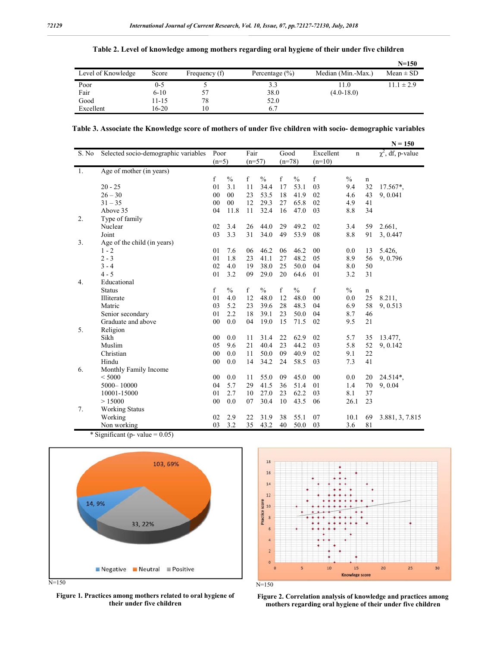|                    |          |               |                    |                    | $N = 150$      |
|--------------------|----------|---------------|--------------------|--------------------|----------------|
| Level of Knowledge | Score    | Frequency (f) | Percentage $(\% )$ | Median (Min.-Max.) | $Mean \pm SD$  |
| Poor               | 0-5      |               | 3.3                | .1.0               | $11.1 \pm 2.9$ |
| Fair               | $6 - 10$ | 57            | 38.0               | $(4.0 - 18.0)$     |                |
| Good               | 11-15    | 78            | 52.0               |                    |                |
| Excellent          | 16-20    | 10            | 6.7                |                    |                |

# **Table 2. Level of knowledge among mothers regarding oral hygiene of their under five children**

**Table 3. Associate the Knowledge score of mothers of under five children with socio- demographic variables**

|       |                                      |    |                 |    |                  |    |                  |                       |               |             | $N = 150$              |
|-------|--------------------------------------|----|-----------------|----|------------------|----|------------------|-----------------------|---------------|-------------|------------------------|
| S. No | Selected socio-demographic variables |    | Poor<br>$(n=5)$ |    | Fair<br>$(n=57)$ |    | Good<br>$(n=78)$ | Excellent<br>$(n=10)$ | n             |             | $\chi^2$ , df, p-value |
| -1.   | Age of mother (in years)             |    |                 |    |                  |    |                  |                       |               |             |                        |
|       |                                      | f  | $\frac{0}{0}$   | f  | $\frac{0}{0}$    | f  | $\frac{0}{0}$    | f                     | $\frac{0}{0}$ | n           |                        |
|       | $20 - 25$                            | 01 | 3.1             | 11 | 34.4             | 17 | 53.1             | 03                    | 9.4           | 32          | 17.567*,               |
|       | $26 - 30$                            | 00 | $00\,$          | 23 | 53.5             | 18 | 41.9             | 02                    | 4.6           | 43          | 9, 0.041               |
|       | $31 - 35$                            | 00 | 00              | 12 | 29.3             | 27 | 65.8             | 02                    | 4.9           | 41          |                        |
|       | Above 35                             | 04 | 11.8            | 11 | 32.4             | 16 | 47.0             | 03                    | 8.8           | 34          |                        |
| 2.    | Type of family                       |    |                 |    |                  |    |                  |                       |               |             |                        |
|       | Nuclear                              | 02 | 3.4             | 26 | 44.0             | 29 | 49.2             | 02                    | 3.4           | 59          | 2.661,                 |
|       | Joint                                | 03 | 3.3             | 31 | 34.0             | 49 | 53.9             | 08                    | 8.8           | 91          | 3, 0.447               |
| 3.    | Age of the child (in years)          |    |                 |    |                  |    |                  |                       |               |             |                        |
|       | $1 - 2$                              | 01 | 7.6             | 06 | 46.2             | 06 | 46.2             | 00                    | 0.0           | 13          | 5.426,                 |
|       | $2 - 3$                              | 01 | 1.8             | 23 | 41.1             | 27 | 48.2             | 05                    | 8.9           | 56          | 9, 0.796               |
|       | $3 - 4$                              | 02 | 4.0             | 19 | 38.0             | 25 | 50.0             | 04                    | 8.0           | 50          |                        |
|       | $4 - 5$                              | 01 | 3.2             | 09 | 29.0             | 20 | 64.6             | 01                    | 3.2           | 31          |                        |
| 4.    | Educational                          |    |                 |    |                  |    |                  |                       |               |             |                        |
|       | <b>Status</b>                        | f  | $\frac{0}{0}$   | f  | $\frac{0}{0}$    | f  | $\frac{0}{0}$    | f                     | $\frac{0}{0}$ | $\mathbf n$ |                        |
|       | Illiterate                           | 01 | 4.0             | 12 | 48.0             | 12 | 48.0             | 00                    | 0.0           | 25          | 8.211,                 |
|       | Matric                               | 03 | 5.2             | 23 | 39.6             | 28 | 48.3             | 04                    | 6.9           | 58          | 9, 0.513               |
|       | Senior secondary                     | 01 | 2.2             | 18 | 39.1             | 23 | 50.0             | 04                    | 8.7           | 46          |                        |
|       | Graduate and above                   | 00 | 0.0             | 04 | 19.0             | 15 | 71.5             | 02                    | 9.5           | 21          |                        |
| 5.    | Religion                             |    |                 |    |                  |    |                  |                       |               |             |                        |
|       | Sikh                                 | 00 | 0.0             | 11 | 31.4             | 22 | 62.9             | 02                    | 5.7           | 35          | 13.477.                |
|       | Muslim                               | 05 | 9.6             | 21 | 40.4             | 23 | 44.2             | 03                    | 5.8           | 52          | 9, 0.142               |
|       | Christian                            | 00 | 0.0             | 11 | 50.0             | 09 | 40.9             | 02                    | 9.1           | 22          |                        |
|       | Hindu                                | 00 | 0.0             | 14 | 34.2             | 24 | 58.5             | 03                    | 7.3           | 41          |                        |
| 6.    | Monthly Family Income                |    |                 |    |                  |    |                  |                       |               |             |                        |
|       | < 5000                               | 00 | 0.0             | 11 | 55.0             | 09 | 45.0             | $00\,$                | 0.0           | 20          | 24.514*,               |
|       | 5000-10000                           | 04 | 5.7             | 29 | 41.5             | 36 | 51.4             | 01                    | 1.4           | 70          | 9, 0.04                |
|       | 10001-15000                          | 01 | 2.7             | 10 | 27.0             | 23 | 62.2             | 03                    | 8.1           | 37          |                        |
|       | > 15000                              | 00 | 0.0             | 07 | 30.4             | 10 | 43.5             | 06                    | 26.1          | 23          |                        |
| 7.    | <b>Working Status</b>                |    |                 |    |                  |    |                  |                       |               |             |                        |
|       | Working                              | 02 | 2.9             | 22 | 31.9             | 38 | 55.1             | 07                    | 10.1          | 69          |                        |
|       | Non working                          | 03 | 3.2             | 35 | 43.2             | 40 | 50.0             | 03                    | 3.6           | 81          | 3.881, 3, 7.815        |
|       |                                      |    |                 |    |                  |    |                  |                       |               |             |                        |

\* Significant (p- value  $= 0.05$ )





**Figure 1. Practices among mothers related to oral hygiene of their under five children**



**Figure 2. Correlation analysis of knowledge and practices among mothers regarding oral hygiene of their under five children**